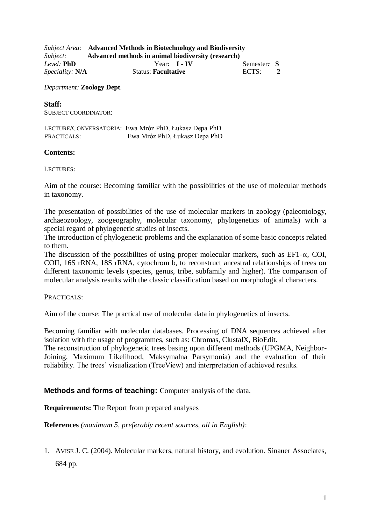|                        | <b>Subject Area:</b> Advanced Methods in Biotechnology and Biodiversity |             |  |
|------------------------|-------------------------------------------------------------------------|-------------|--|
| Subject:               | Advanced methods in animal biodiversity (research)                      |             |  |
| Level: <b>PhD</b>      | Year: <b>I - IV</b>                                                     | Semester: S |  |
| <i>Speciality:</i> N/A | <b>Status: Facultative</b>                                              | ECTS:       |  |

*Department:* **Zoology Dept**.

## **Staff:**

SUBJECT COORDINATOR:

LECTURE/CONVERSATORIA: Ewa Mróz PhD, Łukasz Depa PhD PRACTICALS: Ewa Mróz PhD, Łukasz Depa PhD

## **Contents:**

LECTURES:

Aim of the course: Becoming familiar with the possibilities of the use of molecular methods in taxonomy.

The presentation of possibilities of the use of molecular markers in zoology (paleontology, archaeozoology, zoogeography, molecular taxonomy, phylogenetics of animals) with a special regard of phylogenetic studies of insects.

The introduction of phylogenetic problems and the explanation of some basic concepts related to them.

The discussion of the possibilities of using proper molecular markers, such as  $EFI - \alpha$ , COI, COII, 16S rRNA, 18S rRNA, cytochrom b, to reconstruct ancestral relationships of trees on different taxonomic levels (species, genus, tribe, subfamily and higher). The comparison of molecular analysis results with the classic classification based on morphological characters.

PRACTICALS:

Aim of the course: The practical use of molecular data in phylogenetics of insects.

Becoming familiar with molecular databases. Processing of DNA sequences achieved after isolation with the usage of programmes, such as: Chromas, ClustalX, BioEdit.

The reconstruction of phylogenetic trees basing upon different methods (UPGMA, Neighbor-Joining, Maximum Likelihood, Maksymalna Parsymonia) and the evaluation of their reliability. The trees' visualization (TreeView) and interpretation of achieved results.

## **Methods and forms of teaching:** Computer analysis of the data.

**Requirements:** The Report from prepared analyses

**References** *(maximum 5, preferably recent sources, all in English)*:

1. AVISE J. C. (2004). Molecular markers, natural history, and evolution. Sinauer Associates, 684 pp.